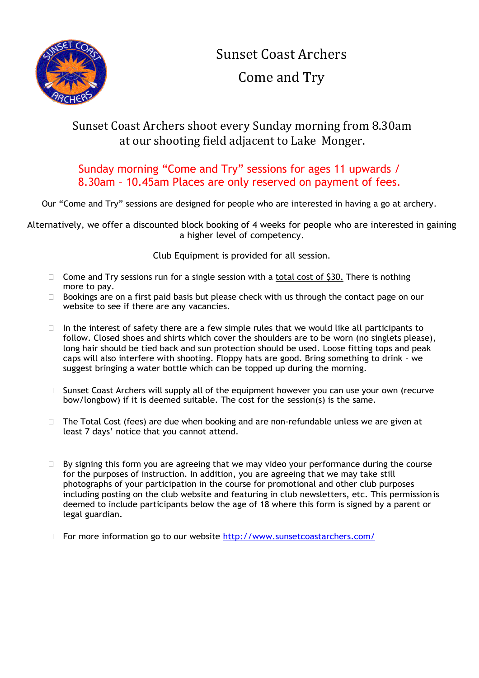

Sunset Coast Archers Come and Try

## Sunset Coast Archers shoot every Sunday morning from 8.30am at our shooting field adjacent to Lake Monger.

## Sunday morning "Come and Try" sessions for ages 11 upwards / 8.30am – 10.45am Places are only reserved on payment of fees.

Our "Come and Try" sessions are designed for people who are interested in having a go at archery.

Alternatively, we offer a discounted block booking of 4 weeks for people who are interested in gaining a higher level of competency.

Club Equipment is provided for all session.

- $\Box$  Come and Try sessions run for a single session with a total cost of \$30. There is nothing more to pay.
- $\Box$  Bookings are on a first paid basis but please check with us through the contact page on our website to see if there are any vacancies.
- $\Box$  In the interest of safety there are a few simple rules that we would like all participants to follow. Closed shoes and shirts which cover the shoulders are to be worn (no singlets please), long hair should be tied back and sun protection should be used. Loose fitting tops and peak caps will also interfere with shooting. Floppy hats are good. Bring something to drink – we suggest bringing a water bottle which can be topped up during the morning.
- $\Box$  Sunset Coast Archers will supply all of the equipment however you can use your own (recurve bow/longbow) if it is deemed suitable. The cost for the session(s) is the same.
- $\Box$  The Total Cost (fees) are due when booking and are non-refundable unless we are given at least 7 days' notice that you cannot attend.
- $\Box$  By signing this form you are agreeing that we may video your performance during the course for the purposes of instruction. In addition, you are agreeing that we may take still photographs of your participation in the course for promotional and other club purposes including posting on the club website and featuring in club newsletters, etc. This permission is deemed to include participants below the age of 18 where this form is signed by a parent or legal guardian.
- For more information go to our website <http://www.sunsetcoastarchers.com/>